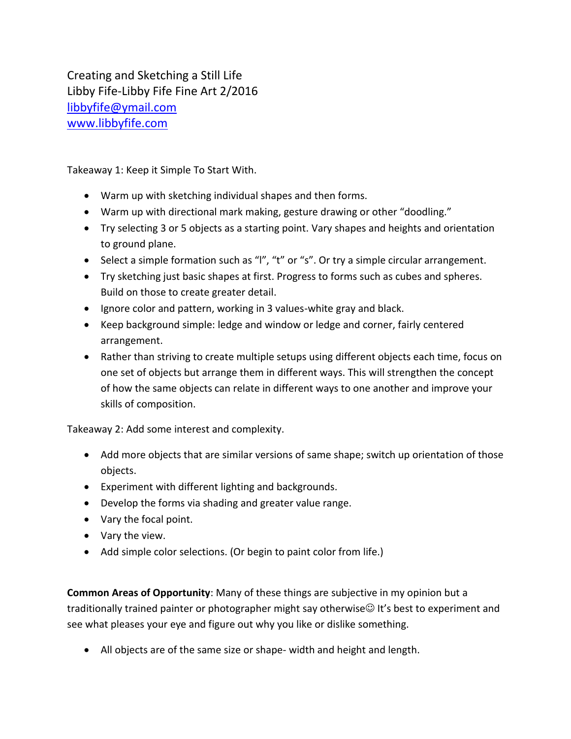Creating and Sketching a Still Life Libby Fife-Libby Fife Fine Art 2/2016 [libbyfife@ymail.com](mailto:libbyfife@ymail.com) [www.libbyfife.com](http://www.libbyfife.com/)

Takeaway 1: Keep it Simple To Start With.

- Warm up with sketching individual shapes and then forms.
- Warm up with directional mark making, gesture drawing or other "doodling."
- Try selecting 3 or 5 objects as a starting point. Vary shapes and heights and orientation to ground plane.
- Select a simple formation such as "I", "t" or "s". Or try a simple circular arrangement.
- Try sketching just basic shapes at first. Progress to forms such as cubes and spheres. Build on those to create greater detail.
- Ignore color and pattern, working in 3 values-white gray and black.
- Keep background simple: ledge and window or ledge and corner, fairly centered arrangement.
- Rather than striving to create multiple setups using different objects each time, focus on one set of objects but arrange them in different ways. This will strengthen the concept of how the same objects can relate in different ways to one another and improve your skills of composition.

Takeaway 2: Add some interest and complexity.

- Add more objects that are similar versions of same shape; switch up orientation of those objects.
- Experiment with different lighting and backgrounds.
- Develop the forms via shading and greater value range.
- Vary the focal point.
- Vary the view.
- Add simple color selections. (Or begin to paint color from life.)

**Common Areas of Opportunity**: Many of these things are subjective in my opinion but a traditionally trained painter or photographer might say otherwise It's best to experiment and see what pleases your eye and figure out why you like or dislike something.

All objects are of the same size or shape- width and height and length.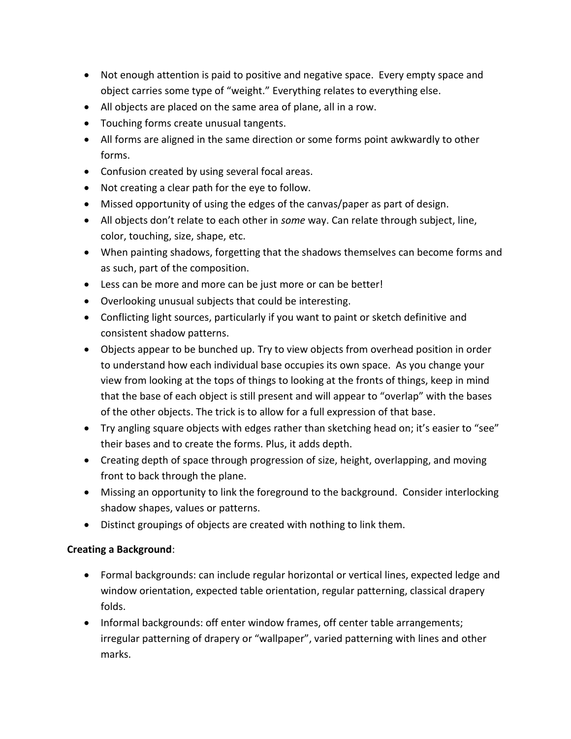- Not enough attention is paid to positive and negative space. Every empty space and object carries some type of "weight." Everything relates to everything else.
- All objects are placed on the same area of plane, all in a row.
- Touching forms create unusual tangents.
- All forms are aligned in the same direction or some forms point awkwardly to other forms.
- Confusion created by using several focal areas.
- Not creating a clear path for the eye to follow.
- Missed opportunity of using the edges of the canvas/paper as part of design.
- All objects don't relate to each other in *some* way. Can relate through subject, line, color, touching, size, shape, etc.
- When painting shadows, forgetting that the shadows themselves can become forms and as such, part of the composition.
- Less can be more and more can be just more or can be better!
- Overlooking unusual subjects that could be interesting.
- Conflicting light sources, particularly if you want to paint or sketch definitive and consistent shadow patterns.
- Objects appear to be bunched up. Try to view objects from overhead position in order to understand how each individual base occupies its own space. As you change your view from looking at the tops of things to looking at the fronts of things, keep in mind that the base of each object is still present and will appear to "overlap" with the bases of the other objects. The trick is to allow for a full expression of that base.
- Try angling square objects with edges rather than sketching head on; it's easier to "see" their bases and to create the forms. Plus, it adds depth.
- Creating depth of space through progression of size, height, overlapping, and moving front to back through the plane.
- Missing an opportunity to link the foreground to the background. Consider interlocking shadow shapes, values or patterns.
- Distinct groupings of objects are created with nothing to link them.

## **Creating a Background**:

- Formal backgrounds: can include regular horizontal or vertical lines, expected ledge and window orientation, expected table orientation, regular patterning, classical drapery folds.
- Informal backgrounds: off enter window frames, off center table arrangements; irregular patterning of drapery or "wallpaper", varied patterning with lines and other marks.